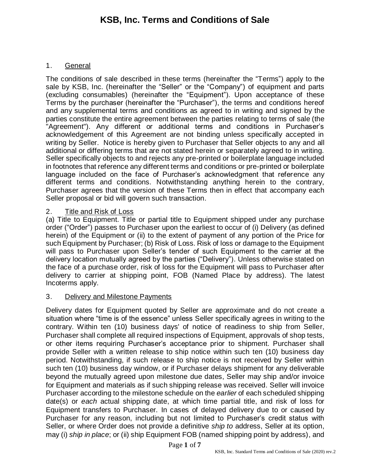# **KSB, Inc. Terms and Conditions of Sale**

### 1. General

The conditions of sale described in these terms (hereinafter the "Terms") apply to the sale by KSB, Inc. (hereinafter the "Seller" or the "Company") of equipment and parts (excluding consumables) (hereinafter the "Equipment"). Upon acceptance of these Terms by the purchaser (hereinafter the "Purchaser"), the terms and conditions hereof and any supplemental terms and conditions as agreed to in writing and signed by the parties constitute the entire agreement between the parties relating to terms of sale (the "Agreement"). Any different or additional terms and conditions in Purchaser's acknowledgement of this Agreement are not binding unless specifically accepted in writing by Seller. Notice is hereby given to Purchaser that Seller objects to any and all additional or differing terms that are not stated herein or separately agreed to in writing. Seller specifically objects to and rejects any pre-printed or boilerplate language included in footnotes that reference any different terms and conditions or pre-printed or boilerplate language included on the face of Purchaser's acknowledgment that reference any different terms and conditions. Notwithstanding anything herein to the contrary, Purchaser agrees that the version of these Terms then in effect that accompany each Seller proposal or bid will govern such transaction.

### 2. Title and Risk of Loss

(a) Title to Equipment. Title or partial title to Equipment shipped under any purchase order ("Order") passes to Purchaser upon the earliest to occur of (i) Delivery (as defined herein) of the Equipment or (ii) to the extent of payment of any portion of the Price for such Equipment by Purchaser; (b) Risk of Loss. Risk of loss or damage to the Equipment will pass to Purchaser upon Seller's tender of such Equipment to the carrier at the delivery location mutually agreed by the parties ("Delivery"). Unless otherwise stated on the face of a purchase order, risk of loss for the Equipment will pass to Purchaser after delivery to carrier at shipping point, FOB (Named Place by address). The latest Incoterms apply.

### 3. Delivery and Milestone Payments

Delivery dates for Equipment quoted by Seller are approximate and do not create a situation where "time is of the essence" unless Seller specifically agrees in writing to the contrary. Within ten (10) business days' of notice of readiness to ship from Seller, Purchaser shall complete all required inspections of Equipment, approvals of shop tests, or other items requiring Purchaser's acceptance prior to shipment. Purchaser shall provide Seller with a written release to ship notice within such ten (10) business day period. Notwithstanding, if such release to ship notice is not received by Seller within such ten (10) business day window, or if Purchaser delays shipment for any deliverable beyond the mutually agreed upon milestone due dates, Seller may ship and/or invoice for Equipment and materials as if such shipping release was received. Seller will invoice Purchaser according to the milestone schedule on the *earlier* of each scheduled shipping date(s) or *each* actual shipping date, at which time partial title, and risk of loss for Equipment transfers to Purchaser. In cases of delayed delivery due to or caused by Purchaser for any reason, including but not limited to Purchaser's credit status with Seller, or where Order does not provide a definitive *ship to* address, Seller at its option, may (i) *ship in place*; or (ii) ship Equipment FOB (named shipping point by address), and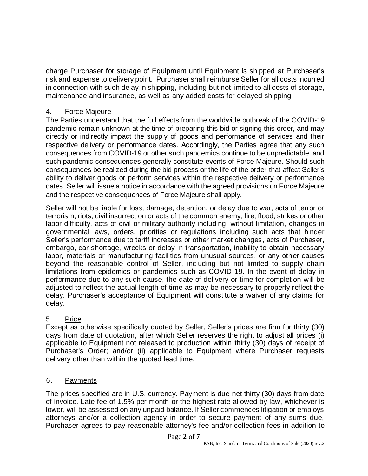charge Purchaser for storage of Equipment until Equipment is shipped at Purchaser's risk and expense to delivery point. Purchaser shall reimburse Seller for all costs incurred in connection with such delay in shipping, including but not limited to all costs of storage, maintenance and insurance, as well as any added costs for delayed shipping.

# 4. Force Majeure

The Parties understand that the full effects from the worldwide outbreak of the COVID-19 pandemic remain unknown at the time of preparing this bid or signing this order, and may directly or indirectly impact the supply of goods and performance of services and their respective delivery or performance dates. Accordingly, the Parties agree that any such consequences from COVID-19 or other such pandemics continue to be unpredictable, and such pandemic consequences generally constitute events of Force Majeure. Should such consequences be realized during the bid process or the life of the order that affect Seller's ability to deliver goods or perform services within the respective delivery or performance dates, Seller will issue a notice in accordance with the agreed provisions on Force Majeure and the respective consequences of Force Majeure shall apply.

Seller will not be liable for loss, damage, detention, or delay due to war, acts of terror or terrorism, riots, civil insurrection or acts of the common enemy, fire, flood, strikes or other labor difficulty, acts of civil or military authority including, without limitation, changes in governmental laws, orders, priorities or regulations including such acts that hinder Seller's performance due to tariff increases or other market changes, acts of Purchaser, embargo, car shortage, wrecks or delay in transportation, inability to obtain necessary labor, materials or manufacturing facilities from unusual sources, or any other causes beyond the reasonable control of Seller, including but not limited to supply chain limitations from epidemics or pandemics such as COVID-19. In the event of delay in performance due to any such cause, the date of delivery or time for completion will be adjusted to reflect the actual length of time as may be necessary to properly reflect the delay. Purchaser's acceptance of Equipment will constitute a waiver of any claims for delay.

# 5. Price

Except as otherwise specifically quoted by Seller, Seller's prices are firm for thirty (30) days from date of quotation, after which Seller reserves the right to adjust all prices (i) applicable to Equipment not released to production within thirty (30) days of receipt of Purchaser's Order; and/or (ii) applicable to Equipment where Purchaser requests delivery other than within the quoted lead time.

# 6. Payments

The prices specified are in U.S. currency. Payment is due net thirty (30) days from date of invoice. Late fee of 1.5% per month or the highest rate allowed by law, whichever is lower, will be assessed on any unpaid balance. If Seller commences litigation or employs attorneys and/or a collection agency in order to secure payment of any sums due, Purchaser agrees to pay reasonable attorney's fee and/or collection fees in addition to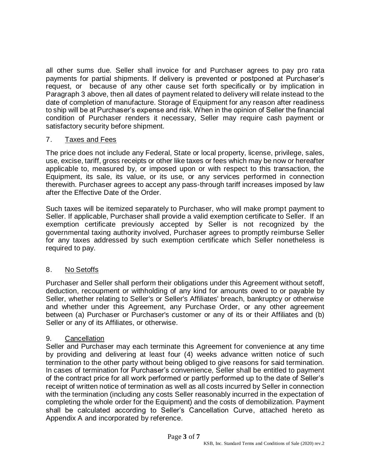all other sums due. Seller shall invoice for and Purchaser agrees to pay pro rata payments for partial shipments. If delivery is prevented or postponed at Purchaser's request, or because of any other cause set forth specifically or by implication in Paragraph 3 above, then all dates of payment related to delivery will relate instead to the date of completion of manufacture. Storage of Equipment for any reason after readiness to ship will be at Purchaser's expense and risk. When in the opinion of Seller the financial condition of Purchaser renders it necessary, Seller may require cash payment or satisfactory security before shipment.

### 7. Taxes and Fees

The price does not include any Federal, State or local property, license, privilege, sales, use, excise, tariff, gross receipts or other like taxes or fees which may be now or hereafter applicable to, measured by, or imposed upon or with respect to this transaction, the Equipment, its sale, its value, or its use, or any services performed in connection therewith. Purchaser agrees to accept any pass-through tariff increases imposed by law after the Effective Date of the Order.

Such taxes will be itemized separately to Purchaser, who will make prompt payment to Seller. If applicable, Purchaser shall provide a valid exemption certificate to Seller. If an exemption certificate previously accepted by Seller is not recognized by the governmental taxing authority involved, Purchaser agrees to promptly reimburse Seller for any taxes addressed by such exemption certificate which Seller nonetheless is required to pay.

# 8. No Setoffs

Purchaser and Seller shall perform their obligations under this Agreement without setoff, deduction, recoupment or withholding of any kind for amounts owed to or payable by Seller, whether relating to Seller's or Seller's Affiliates' breach, bankruptcy or otherwise and whether under this Agreement, any Purchase Order, or any other agreement between (a) Purchaser or Purchaser's customer or any of its or their Affiliates and (b) Seller or any of its Affiliates, or otherwise.

# 9. Cancellation

Seller and Purchaser may each terminate this Agreement for convenience at any time by providing and delivering at least four (4) weeks advance written notice of such termination to the other party without being obliged to give reasons for said termination. In cases of termination for Purchaser's convenience, Seller shall be entitled to payment of the contract price for all work performed or partly performed up to the date of Seller's receipt of written notice of termination as well as all costs incurred by Seller in connection with the termination (including any costs Seller reasonably incurred in the expectation of completing the whole order for the Equipment) and the costs of demobilization. Payment shall be calculated according to Seller's Cancellation Curve, attached hereto as Appendix A and incorporated by reference.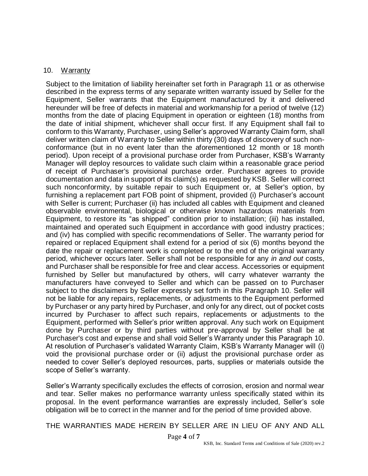#### 10. Warranty

Subject to the limitation of liability hereinafter set forth in Paragraph 11 or as otherwise described in the express terms of any separate written warranty issued by Seller for the Equipment, Seller warrants that the Equipment manufactured by it and delivered hereunder will be free of defects in material and workmanship for a period of twelve (12) months from the date of placing Equipment in operation or eighteen (18) months from the date of initial shipment, whichever shall occur first. If any Equipment shall fail to conform to this Warranty, Purchaser, using Seller's approved Warranty Claim form, shall deliver written claim of Warranty to Seller within thirty (30) days of discovery of such nonconformance (but in no event later than the aforementioned 12 month or 18 month period). Upon receipt of a provisional purchase order from Purchaser, KSB's Warranty Manager will deploy resources to validate such claim within a reasonable grace period of receipt of Purchaser's provisional purchase order. Purchaser agrees to provide documentation and data in support of its claim(s) as requested by KSB. Seller will correct such nonconformity, by suitable repair to such Equipment or, at Seller's option, by furnishing a replacement part FOB point of shipment, provided (i) Purchaser's account with Seller is current; Purchaser (ii) has included all cables with Equipment and cleaned observable environmental, biological or otherwise known hazardous materials from Equipment, to restore its "as shipped" condition prior to installation; (iii) has installed, maintained and operated such Equipment in accordance with good industry practices; and (iv) has complied with specific recommendations of Seller. The warranty period for repaired or replaced Equipment shall extend for a period of six (6) months beyond the date the repair or replacement work is completed or to the end of the original warranty period, whichever occurs later. Seller shall not be responsible for any *in and out* costs, and Purchaser shall be responsible for free and clear access. Accessories or equipment furnished by Seller but manufactured by others, will carry whatever warranty the manufacturers have conveyed to Seller and which can be passed on to Purchaser subject to the disclaimers by Seller expressly set forth in this Paragraph 10. Seller will not be liable for any repairs, replacements, or adjustments to the Equipment performed by Purchaser or any party hired by Purchaser, and only for any direct, out of pocket costs incurred by Purchaser to affect such repairs, replacements or adjustments to the Equipment, performed with Seller's prior written approval. Any such work on Equipment done by Purchaser or by third parties without pre-approval by Seller shall be at Purchaser's cost and expense and shall void Seller's Warranty under this Paragraph 10. At resolution of Purchaser's validated Warranty Claim, KSB's Warranty Manager will (i) void the provisional purchase order or (ii) adjust the provisional purchase order as needed to cover Seller's deployed resources, parts, supplies or materials outside the scope of Seller's warranty.

Seller's Warranty specifically excludes the effects of corrosion, erosion and normal wear and tear. Seller makes no performance warranty unless specifically stated within its proposal. In the event performance warranties are expressly included, Seller's sole obligation will be to correct in the manner and for the period of time provided above.

THE WARRANTIES MADE HEREIN BY SELLER ARE IN LIEU OF ANY AND ALL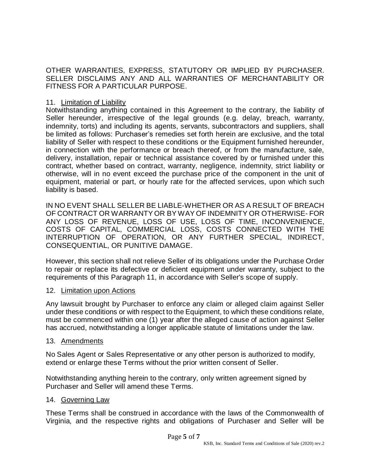OTHER WARRANTIES, EXPRESS, STATUTORY OR IMPLIED BY PURCHASER. SELLER DISCLAIMS ANY AND ALL WARRANTIES OF MERCHANTABILITY OR FITNESS FOR A PARTICULAR PURPOSE.

#### 11. Limitation of Liability

Notwithstanding anything contained in this Agreement to the contrary, the liability of Seller hereunder, irrespective of the legal grounds (e.g. delay, breach, warranty, indemnity, torts) and including its agents, servants, subcontractors and suppliers, shall be limited as follows: Purchaser's remedies set forth herein are exclusive, and the total liability of Seller with respect to these conditions or the Equipment furnished hereunder, in connection with the performance or breach thereof, or from the manufacture, sale, delivery, installation, repair or technical assistance covered by or furnished under this contract, whether based on contract, warranty, negligence, indemnity, strict liability or otherwise, will in no event exceed the purchase price of the component in the unit of equipment, material or part, or hourly rate for the affected services, upon which such liability is based.

IN NO EVENT SHALL SELLER BE LIABLE-WHETHER OR AS A RESULT OF BREACH OF CONTRACT OR WARRANTY OR BY WAY OF INDEMNITY OR OTHERWISE- FOR ANY LOSS OF REVENUE, LOSS OF USE, LOSS OF TIME, INCONVENIENCE, COSTS OF CAPITAL, COMMERCIAL LOSS, COSTS CONNECTED WITH THE INTERRUPTION OF OPERATION, OR ANY FURTHER SPECIAL, INDIRECT, CONSEQUENTIAL, OR PUNITIVE DAMAGE.

However, this section shall not relieve Seller of its obligations under the Purchase Order to repair or replace its defective or deficient equipment under warranty, subject to the requirements of this Paragraph 11, in accordance with Seller's scope of supply.

### 12. Limitation upon Actions

Any lawsuit brought by Purchaser to enforce any claim or alleged claim against Seller under these conditions or with respect to the Equipment, to which these conditions relate, must be commenced within one (1) year after the alleged cause of action against Seller has accrued, notwithstanding a longer applicable statute of limitations under the law.

#### 13. Amendments

No Sales Agent or Sales Representative or any other person is authorized to modify, extend or enlarge these Terms without the prior written consent of Seller.

Notwithstanding anything herein to the contrary, only written agreement signed by Purchaser and Seller will amend these Terms.

#### 14. Governing Law

These Terms shall be construed in accordance with the laws of the Commonwealth of Virginia, and the respective rights and obligations of Purchaser and Seller will be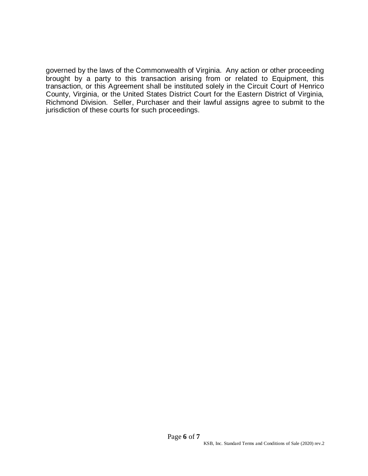governed by the laws of the Commonwealth of Virginia. Any action or other proceeding brought by a party to this transaction arising from or related to Equipment, this transaction, or this Agreement shall be instituted solely in the Circuit Court of Henrico County, Virginia, or the United States District Court for the Eastern District of Virginia, Richmond Division. Seller, Purchaser and their lawful assigns agree to submit to the jurisdiction of these courts for such proceedings.